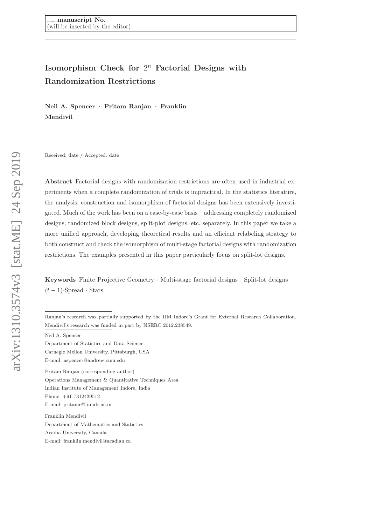# Isomorphism Check for  $2^n$  Factorial Designs with Randomization Restrictions

Neil A. Spencer · Pritam Ranjan · Franklin Mendivil

Received: date / Accepted: date

Abstract Factorial designs with randomization restrictions are often used in industrial experiments when a complete randomization of trials is impractical. In the statistics literature, the analysis, construction and isomorphism of factorial designs has been extensively investigated. Much of the work has been on a case-by-case basis – addressing completely randomized designs, randomized block designs, split-plot designs, etc. separately. In this paper we take a more unified approach, developing theoretical results and an efficient relabeling strategy to both construct and check the isomorphism of multi-stage factorial designs with randomization restrictions. The examples presented in this paper particularly focus on split-lot designs.

Keywords Finite Projective Geometry · Multi-stage factorial designs · Split-lot designs ·  $(t-1)$ -Spread · Stars

Ranjan's research was partially supported by the IIM Indore's Grant for External Research Collaboration. Mendivil's research was funded in part by NSERC 2012:238549.

Neil A. Spencer

Department of Statistics and Data Science

Carnegie Mellon University, Pittsburgh, USA

E-mail: nspencer@andrew.cmu.edu

Pritam Ranjan (corresponding author)

Operations Management & Quantitative Techniques Area Indian Institute of Management Indore, India Phone: +91 7312439512

E-mail: pritamr@iimidr.ac.in

Franklin Mendivil Department of Mathematics and Statistics Acadia University, Canada E-mail: franklin.mendivil@acadiau.ca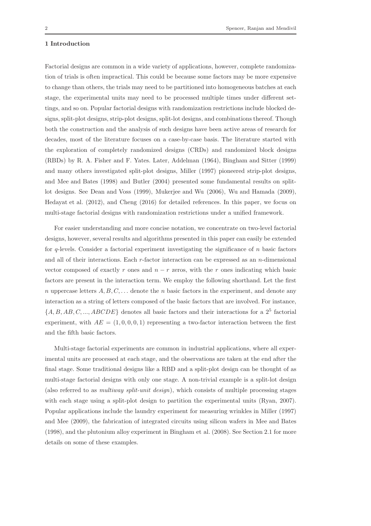# 1 Introduction

Factorial designs are common in a wide variety of applications, however, complete randomization of trials is often impractical. This could be because some factors may be more expensive to change than others, the trials may need to be partitioned into homogeneous batches at each stage, the experimental units may need to be processed multiple times under different settings, and so on. Popular factorial designs with randomization restrictions include blocked designs, split-plot designs, strip-plot designs, split-lot designs, and combinations thereof. Though both the construction and the analysis of such designs have been active areas of research for decades, most of the literature focuses on a case-by-case basis. The literature started with the exploration of completely randomized designs (CRDs) and randomized block designs (RBDs) by R. A. Fisher and F. Yates. Later, Addelman (1964), Bingham and Sitter (1999) and many others investigated split-plot designs, Miller (1997) pioneered strip-plot designs, and Mee and Bates (1998) and Butler (2004) presented some fundamental results on splitlot designs. See Dean and Voss (1999), Mukerjee and Wu (2006), Wu and Hamada (2009), Hedayat et al. (2012), and Cheng (2016) for detailed references. In this paper, we focus on multi-stage factorial designs with randomization restrictions under a unified framework.

For easier understanding and more concise notation, we concentrate on two-level factorial designs, however, several results and algorithms presented in this paper can easily be extended for  $q$ -levels. Consider a factorial experiment investigating the significance of  $n$  basic factors and all of their interactions. Each  $r$ -factor interaction can be expressed as an  $n$ -dimensional vector composed of exactly r ones and  $n - r$  zeros, with the r ones indicating which basic factors are present in the interaction term. We employ the following shorthand. Let the first n uppercase letters  $A, B, C, \ldots$  denote the n basic factors in the experiment, and denote any interaction as a string of letters composed of the basic factors that are involved. For instance,  $\{A, B, AB, C, ..., ABCDE\}$  denotes all basic factors and their interactions for a  $2^5$  factorial experiment, with  $AE = (1, 0, 0, 0, 1)$  representing a two-factor interaction between the first and the fifth basic factors.

Multi-stage factorial experiments are common in industrial applications, where all experimental units are processed at each stage, and the observations are taken at the end after the final stage. Some traditional designs like a RBD and a split-plot design can be thought of as multi-stage factorial designs with only one stage. A non-trivial example is a split-lot design (also referred to as multiway split-unit design), which consists of multiple processing stages with each stage using a split-plot design to partition the experimental units (Ryan, 2007). Popular applications include the laundry experiment for measuring wrinkles in Miller (1997) and Mee (2009), the fabrication of integrated circuits using silicon wafers in Mee and Bates (1998), and the plutonium alloy experiment in Bingham et al. (2008). See Section 2.1 for more details on some of these examples.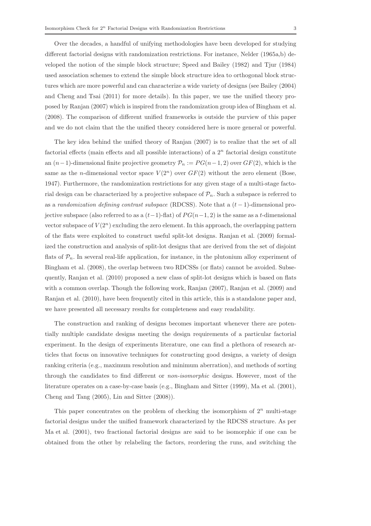Over the decades, a handful of unifying methodologies have been developed for studying different factorial designs with randomization restrictions. For instance, Nelder (1965a,b) developed the notion of the simple block structure; Speed and Bailey (1982) and Tjur (1984) used association schemes to extend the simple block structure idea to orthogonal block structures which are more powerful and can characterize a wide variety of designs (see Bailey (2004) and Cheng and Tsai (2011) for more details). In this paper, we use the unified theory proposed by Ranjan (2007) which is inspired from the randomization group idea of Bingham et al. (2008). The comparison of different unified frameworks is outside the purview of this paper and we do not claim that the the unified theory considered here is more general or powerful.

The key idea behind the unified theory of Ranjan (2007) is to realize that the set of all factorial effects (main effects and all possible interactions) of a  $2<sup>n</sup>$  factorial design constitute an  $(n-1)$ -dimensional finite projective geometry  $\mathcal{P}_n := PG(n-1, 2)$  over  $GF(2)$ , which is the same as the *n*-dimensional vector space  $V(2^n)$  over  $GF(2)$  without the zero element (Bose, 1947). Furthermore, the randomization restrictions for any given stage of a multi-stage factorial design can be characterized by a projective subspace of  $\mathcal{P}_n$ . Such a subspace is referred to as a randomization defining contrast subspace (RDCSS). Note that a  $(t-1)$ -dimensional projective subspace (also referred to as a  $(t-1)$ -flat) of  $PG(n-1, 2)$  is the same as a t-dimensional vector subspace of  $V(2^n)$  excluding the zero element. In this approach, the overlapping pattern of the flats were exploited to construct useful split-lot designs. Ranjan et al. (2009) formalized the construction and analysis of split-lot designs that are derived from the set of disjoint flats of  $\mathcal{P}_n$ . In several real-life application, for instance, in the plutonium alloy experiment of Bingham et al. (2008), the overlap between two RDCSSs (or flats) cannot be avoided. Subsequently, Ranjan et al. (2010) proposed a new class of split-lot designs which is based on flats with a common overlap. Though the following work, Ranjan (2007), Ranjan et al. (2009) and Ranjan et al. (2010), have been frequently cited in this article, this is a standalone paper and, we have presented all necessary results for completeness and easy readability.

The construction and ranking of designs becomes important whenever there are potentially multiple candidate designs meeting the design requirements of a particular factorial experiment. In the design of experiments literature, one can find a plethora of research articles that focus on innovative techniques for constructing good designs, a variety of design ranking criteria (e.g., maximum resolution and minimum aberration), and methods of sorting through the candidates to find different or non-isomorphic designs. However, most of the literature operates on a case-by-case basis (e.g., Bingham and Sitter (1999), Ma et al. (2001), Cheng and Tang (2005), Lin and Sitter (2008)).

This paper concentrates on the problem of checking the isomorphism of  $2^n$  multi-stage factorial designs under the unified framework characterized by the RDCSS structure. As per Ma et al. (2001), two fractional factorial designs are said to be isomorphic if one can be obtained from the other by relabeling the factors, reordering the runs, and switching the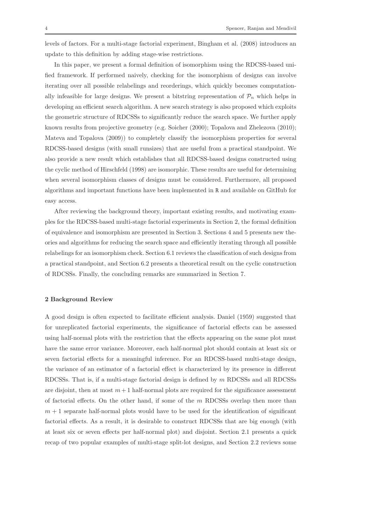levels of factors. For a multi-stage factorial experiment, Bingham et al. (2008) introduces an update to this definition by adding stage-wise restrictions.

In this paper, we present a formal definition of isomorphism using the RDCSS-based unified framework. If performed naively, checking for the isomorphism of designs can involve iterating over all possible relabelings and reorderings, which quickly becomes computationally infeasible for large designs. We present a bitstring representation of  $\mathcal{P}_n$  which helps in developing an efficient search algorithm. A new search strategy is also proposed which exploits the geometric structure of RDCSSs to significantly reduce the search space. We further apply known results from projective geometry (e.g. Soicher (2000); Topalova and Zhelezova (2010); Mateva and Topalova (2009)) to completely classify the isomorphism properties for several RDCSS-based designs (with small runsizes) that are useful from a practical standpoint. We also provide a new result which establishes that all RDCSS-based designs constructed using the cyclic method of Hirschfeld (1998) are isomorphic. These results are useful for determining when several isomorphism classes of designs must be considered. Furthermore, all proposed algorithms and important functions have been implemented in R and available on GitHub for easy access.

After reviewing the background theory, important existing results, and motivating examples for the RDCSS-based multi-stage factorial experiments in Section 2, the formal definition of equivalence and isomorphism are presented in Section 3. Sections 4 and 5 presents new theories and algorithms for reducing the search space and efficiently iterating through all possible relabelings for an isomorphism check. Section 6.1 reviews the classification of such designs from a practical standpoint, and Section 6.2 presents a theoretical result on the cyclic construction of RDCSSs. Finally, the concluding remarks are summarized in Section 7.

# 2 Background Review

A good design is often expected to facilitate efficient analysis. Daniel (1959) suggested that for unreplicated factorial experiments, the significance of factorial effects can be assessed using half-normal plots with the restriction that the effects appearing on the same plot must have the same error variance. Moreover, each half-normal plot should contain at least six or seven factorial effects for a meaningful inference. For an RDCSS-based multi-stage design, the variance of an estimator of a factorial effect is characterized by its presence in different RDCSSs. That is, if a multi-stage factorial design is defined by  $m$  RDCSSs and all RDCSSs are disjoint, then at most  $m + 1$  half-normal plots are required for the significance assessment of factorial effects. On the other hand, if some of the  $m$  RDCSSs overlap then more than  $m + 1$  separate half-normal plots would have to be used for the identification of significant factorial effects. As a result, it is desirable to construct RDCSSs that are big enough (with at least six or seven effects per half-normal plot) and disjoint. Section 2.1 presents a quick recap of two popular examples of multi-stage split-lot designs, and Section 2.2 reviews some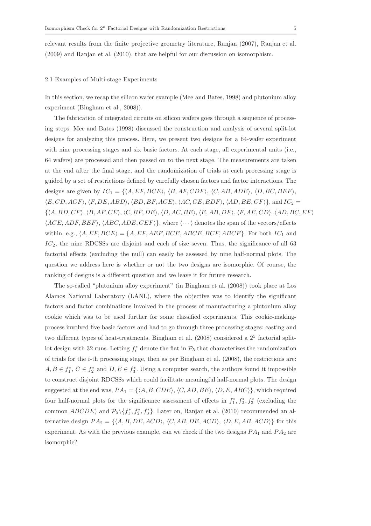relevant results from the finite projective geometry literature, Ranjan (2007), Ranjan et al. (2009) and Ranjan et al. (2010), that are helpful for our discussion on isomorphism.

## 2.1 Examples of Multi-stage Experiments

In this section, we recap the silicon wafer example (Mee and Bates, 1998) and plutonium alloy experiment (Bingham et al., 2008)).

The fabrication of integrated circuits on silicon wafers goes through a sequence of processing steps. Mee and Bates (1998) discussed the construction and analysis of several split-lot designs for analyzing this process. Here, we present two designs for a 64-wafer experiment with nine processing stages and six basic factors. At each stage, all experimental units (i.e., 64 wafers) are processed and then passed on to the next stage. The measurements are taken at the end after the final stage, and the randomization of trials at each processing stage is guided by a set of restrictions defined by carefully chosen factors and factor interactions. The designs are given by  $IC_1 = \{ \langle A, EF, BCE \rangle, \langle B, AF, CDF \rangle, \langle C, AB, ADE \rangle, \langle D, BC, BEF \rangle, \}$  $\langle E, CD, ACF \rangle$ ,  $\langle F, DE, ABD \rangle$ ,  $\langle BD, BF, ACE \rangle$ ,  $\langle AC, CE, BDF \rangle$ ,  $\langle AD, BE, CF \rangle$ , and  $IC_2 =$  $\{\langle A, BD, CF \rangle, \langle B, AF, CE \rangle, \langle C, BF, DE \rangle, \langle D, AC, BE \rangle, \langle E, AB, DF \rangle, \langle F, AE, CD \rangle, \langle AD, BC, EF \rangle$  $\langle ACE, ADF, BEF \rangle$ ,  $\langle ABC, ADE, CEF \rangle$ , where  $\langle \cdots \rangle$  denotes the span of the vectors/effects within, e.g.,  $\langle A, EF, BCE \rangle = \{A, EF, AEF, BCE, ABCE, BCEF, ABCF\}$ . For both  $IC_1$  and  $IC<sub>2</sub>$ , the nine RDCSSs are disjoint and each of size seven. Thus, the significance of all 63 factorial effects (excluding the null) can easily be assessed by nine half-normal plots. The question we address here is whether or not the two designs are isomorphic. Of course, the ranking of designs is a different question and we leave it for future research.

The so-called "plutonium alloy experiment" (in Bingham et al. (2008)) took place at Los Alamos National Laboratory (LANL), where the objective was to identify the significant factors and factor combinations involved in the process of manufacturing a plutonium alloy cookie which was to be used further for some classified experiments. This cookie-makingprocess involved five basic factors and had to go through three processing stages: casting and two different types of heat-treatments. Bingham et al.  $(2008)$  considered a  $2<sup>5</sup>$  factorial splitlot design with 32 runs. Letting  $f_i^*$  denote the flat in  $\mathcal{P}_5$  that characterizes the randomization of trials for the i-th processing stage, then as per Bingham et al. (2008), the restrictions are:  $A, B \in f_1^*, C \in f_2^*$  and  $D, E \in f_3^*$ . Using a computer search, the authors found it impossible to construct disjoint RDCSSs which could facilitate meaningful half-normal plots. The design suggested at the end was,  $PA_1 = \{ \langle A, B, CDE \rangle, \langle C, AD, BE \rangle, \langle D, E, ABC \rangle \}$ , which required four half-normal plots for the significance assessment of effects in  $f_1^*, f_2^*, f_3^*$  (excluding the common  $ABCDE$ ) and  $\mathcal{P}_5 \setminus \{f_1^*, f_2^*, f_3^*\}$ . Later on, Ranjan et al. (2010) recommended an alternative design  $PA_2 = \{ \langle A, B, DE, ACD \rangle, \langle C, AB, DE, ACD \rangle, \langle D, E, AB, ACD \rangle \}$  for this experiment. As with the previous example, can we check if the two designs  $PA_1$  and  $PA_2$  are isomorphic?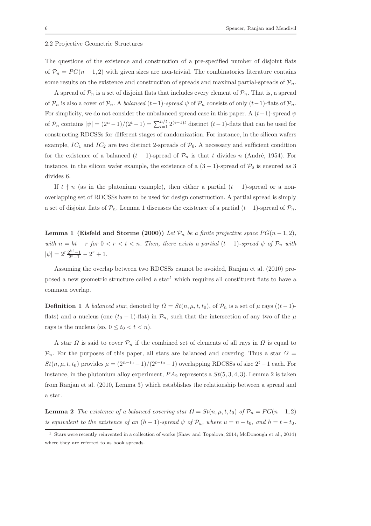## 2.2 Projective Geometric Structures

The questions of the existence and construction of a pre-specified number of disjoint flats of  $\mathcal{P}_n = PG(n-1, 2)$  with given sizes are non-trivial. The combinatorics literature contains some results on the existence and construction of spreads and maximal partial-spreads of  $\mathcal{P}_n$ .

A spread of  $\mathcal{P}_n$  is a set of disjoint flats that includes every element of  $\mathcal{P}_n$ . That is, a spread of  $\mathcal{P}_n$  is also a cover of  $\mathcal{P}_n$ . A balanced  $(t-1)$ -spread  $\psi$  of  $\mathcal{P}_n$  consists of only  $(t-1)$ -flats of  $\mathcal{P}_n$ . For simplicity, we do not consider the unbalanced spread case in this paper. A  $(t-1)$ -spread  $\psi$ of  $\mathcal{P}_n$  contains  $|\psi| = (2^n - 1)/(2^t - 1) = \sum_{i=1}^{n/t} 2^{(i-1)t}$  distinct  $(t-1)$ -flats that can be used for constructing RDCSSs for different stages of randomization. For instance, in the silicon wafers example,  $IC_1$  and  $IC_2$  are two distinct 2-spreads of  $\mathcal{P}_6$ . A necessary and sufficient condition for the existence of a balanced  $(t - 1)$ -spread of  $\mathcal{P}_n$  is that t divides n (André, 1954). For instance, in the silicon wafer example, the existence of a  $(3-1)$ -spread of  $\mathcal{P}_6$  is ensured as 3 divides 6.

If  $t \nmid n$  (as in the plutonium example), then either a partial  $(t - 1)$ -spread or a nonoverlapping set of RDCSSs have to be used for design construction. A partial spread is simply a set of disjoint flats of  $\mathcal{P}_n$ . Lemma 1 discusses the existence of a partial  $(t-1)$ -spread of  $\mathcal{P}_n$ .

**Lemma 1 (Eisfeld and Storme (2000))** Let  $\mathcal{P}_n$  be a finite projective space  $PG(n-1, 2)$ , with  $n = kt + r$  for  $0 < r < t < n$ . Then, there exists a partial  $(t - 1)$ -spread  $\psi$  of  $\mathcal{P}_n$  with  $|\psi| = 2^r \frac{2^{kt} - 1}{2^t - 1} - 2^r + 1.$ 

Assuming the overlap between two RDCSSs cannot be avoided, Ranjan et al. (2010) proposed a new geometric structure called a star<sup>1</sup> which requires all constituent flats to have a common overlap.

**Definition 1** A balanced star, denoted by  $\Omega = St(n, \mu, t, t_0)$ , of  $\mathcal{P}_n$  is a set of  $\mu$  rays  $((t-1)$ flats) and a nucleus (one  $(t_0 - 1)$ -flat) in  $\mathcal{P}_n$ , such that the intersection of any two of the  $\mu$ rays is the nucleus (so,  $0 \le t_0 < t < n$ ).

A star  $\Omega$  is said to cover  $\mathcal{P}_n$  if the combined set of elements of all rays in  $\Omega$  is equal to  $\mathcal{P}_n$ . For the purposes of this paper, all stars are balanced and covering. Thus a star  $\Omega =$  $St(n, \mu, t, t_0)$  provides  $\mu = (2^{n-t_0} - 1)/(2^{t-t_0} - 1)$  overlapping RDCSSs of size  $2^t - 1$  each. For instance, in the plutonium alloy experiment,  $PA_2$  represents a  $St(5, 3, 4, 3)$ . Lemma 2 is taken from Ranjan et al. (2010, Lemma 3) which establishes the relationship between a spread and a star.

**Lemma 2** The existence of a balanced covering star  $\Omega = St(n, \mu, t, t_0)$  of  $\mathcal{P}_n = PG(n - 1, 2)$ is equivalent to the existence of an  $(h-1)$ -spread  $\psi$  of  $\mathcal{P}_u$ , where  $u = n - t_0$ , and  $h = t - t_0$ .

<sup>1</sup> Stars were recently reinvented in a collection of works (Shaw and Topalova, 2014; McDonough et al., 2014) where they are referred to as book spreads.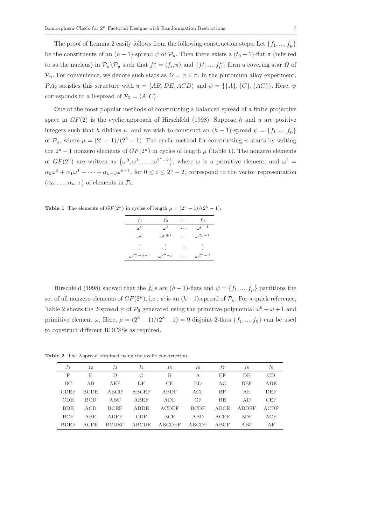The proof of Lemma 2 easily follows from the following construction steps. Let  $\{f_1, ..., f_\mu\}$ be the constituents of an  $(h-1)$ -spread  $\psi$  of  $\mathcal{P}_u$ . Then there exists a  $(t_0-1)$ -flat  $\pi$  (referred to as the nucleus) in  $\mathcal{P}_n \backslash \mathcal{P}_u$  such that  $f_i^* = \langle f_i, \pi \rangle$  and  $\{f_1^*, ..., f_\mu^*\}$  form a covering star  $\Omega$  of  $\mathcal{P}_n$ . For convenience, we denote such stars as  $\Omega = \psi \times \pi$ . In the plutonium alloy experiment,  $PA_2$  satisfies this structure with  $\pi = \langle AB, DE, ACD \rangle$  and  $\psi = \{\{A\}, \{C\}, \{AC\}\}\.$  Here,  $\psi$ corresponds to a 0-spread of  $\mathcal{P}_2 = \langle A, C \rangle$ .

One of the most popular methods of constructing a balanced spread of a finite projective space in  $GF(2)$  is the cyclic approach of Hirschfeld (1998). Suppose h and u are positive integers such that h divides u, and we wish to construct an  $(h - 1)$ -spread  $\psi = \{f_1, ..., f_\mu\}$ of  $\mathcal{P}_u$ , where  $\mu = (2^u - 1)/(2^h - 1)$ . The cyclic method for constructing  $\psi$  starts by writing the  $2^u - 1$  nonzero elements of  $GF(2^u)$  in cycles of length  $\mu$  (Table 1). The nonzero elements of  $GF(2^u)$  are written as  $\{\omega^0, \omega^1, \ldots, \omega^{2^u-2}\}\$ , where  $\omega$  is a primitive element, and  $\omega^i =$  $\alpha_0\omega^0 + \alpha_1\omega^1 + \cdots + \alpha_{u-1}\omega^{u-1}$ , for  $0 \leq i \leq 2^u - 2$ , correspond to the vector representation  $(\alpha_0, \ldots, \alpha_{u-1})$  of elements in  $\mathcal{P}_u$ .

**Table 1** The elements of  $GF(2^u)$  in cycles of length  $\mu = (2^u - 1)/(2^h - 1)$ .

| f <sub>1</sub>           | f2                 | . | $f_{\mu}$         |
|--------------------------|--------------------|---|-------------------|
| $\omega^0$               | $\omega^1$         | . | $\omega^{\mu-1}$  |
| $\omega^{\mu}$           | $\omega^{\mu+1}$   | . | $\omega^{2\mu-1}$ |
| ٠                        | ٠                  |   | ٠                 |
| $\omega^{2^u - \mu - 1}$ | $\omega^{2^u-\mu}$ | . | $\omega^{2^u-2}$  |

Hirschfeld (1998) showed that the  $f_i$ 's are  $(h-1)$ -flats and  $\psi = \{f_1, ..., f_\mu\}$  partitions the set of all nonzero elements of  $GF(2^u)$ , i.e.,  $\psi$  is an  $(h-1)$ -spread of  $\mathcal{P}_u$ . For a quick reference, Table 2 shows the 2-spread  $\psi$  of  $\mathcal{P}_6$  generated using the primitive polynomial  $\omega^6 + \omega + 1$  and primitive element  $\omega$ . Here,  $\mu = (2^6 - 1)/(2^3 - 1) = 9$  disjoint 2-flats  $\{f_1, ..., f_9\}$  can be used to construct different RDCSSs as required.

| f1          | J2          | ĴЗ           | Ť4            | .t5          | .f6          | Ť7        | .f8          | J9         |
|-------------|-------------|--------------|---------------|--------------|--------------|-----------|--------------|------------|
| F           | E           | D            | $\mathcal{C}$ | B            | А            | EF        | DE           | CD         |
| BC          | AB          | AEF          | DF            | CE           | <b>BD</b>    | AC        | <b>BEF</b>   | ADE        |
| <b>CDEF</b> | <b>BCDE</b> | ABCD         | ABCEF         | ABDF         | ACF          | <b>BF</b> | AE           | <b>DEF</b> |
| CDE         | <b>BCD</b>  | ABC          | ABEF          | ADF          | CF           | BE        | AD.          | <b>CEF</b> |
| <b>BDE</b>  | ACD         | <b>BCEF</b>  | <b>ABDE</b>   | <b>ACDEF</b> | <b>BCDF</b>  | ABCE      | <b>ABDEF</b> | ACDF       |
| <b>BCF</b>  | <b>ABE</b>  | ADEF         | <b>CDF</b>    | BCE          | ABD          | ACEF      | <b>BDF</b>   | ACE        |
| <b>BDEF</b> | <b>ACDE</b> | <b>BCDEF</b> | ABCDE         | ABCDEF       | <b>ABCDF</b> | ABCF      | ABF          | AF         |

Table 2 The 2-spread obtained using the cyclic construction.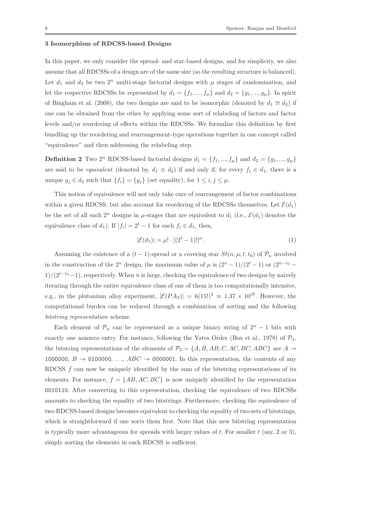# 3 Isomorphism of RDCSS-based Designs

In this paper, we only consider the spread- and star-based designs, and for simplicity, we also assume that all RDCSSs of a design are of the same size (so the resulting structure is balanced). Let  $d_1$  and  $d_2$  be two  $2^n$  multi-stage factorial designs with  $\mu$  stages of randomization, and let the respective RDCSSs be represented by  $d_1 = \{f_1, ..., f_\mu\}$  and  $d_2 = \{g_1, ..., g_\mu\}$ . In spirit of Bingham et al. (2008), the two designs are said to be isomorphic (denoted by  $d_1 \cong d_2$ ) if one can be obtained from the other by applying some sort of relabeling of factors and factor levels and/or reordering of effects within the RDCSSs. We formalize this definition by first bundling up the reordering and rearrangement-type operations together in one concept called "equivalence" and then addressing the relabeling step.

**Definition 2** Two 2<sup>n</sup> RDCSS-based factorial designs  $d_1 = \{f_1, ..., f_\mu\}$  and  $d_2 = \{g_1, ..., g_\mu\}$ are said to be *equivalent* (denoted by,  $d_1 \equiv d_2$ ) if and only if, for every  $f_i \in d_1$ , there is a unique  $g_j \in d_2$  such that  $\{f_i\} = \{g_j\}$  (set equality), for  $1 \leq i, j \leq \mu$ .

This notion of equivalence will not only take care of rearrangement of factor combinations within a given RDCSS, but also account for reordering of the RDCSSs themselves. Let  $\mathcal{E}(d_1)$ be the set of all such  $2^n$  designs in  $\mu$ -stages that are equivalent to  $d_1$  (i.e.,  $\mathcal{E}(d_1)$ ) denotes the equivalence class of  $d_1$ ). If  $|f_i| = 2^t - 1$  for each  $f_i \in d_1$ , then,

$$
|\mathcal{E}(d_1)| = \mu! \cdot [(2^t - 1)!]^\mu.
$$
 (1)

Assuming the existence of a  $(t-1)$ -spread or a covering star  $St(n, \mu, t, t_0)$  of  $\mathcal{P}_n$  involved in the construction of the  $2^n$  design, the maximum value of  $\mu$  is  $\frac{(2^n-1)}{(2^t-1)}$  or  $\frac{(2^{n-t_0}-1)}{(2^t-1)}$  $1)/(2^{t-t_0}-1)$ , respectively. When n is large, checking the equivalence of two designs by naively iterating through the entire equivalence class of one of them is too computationally intensive, e.g., in the plutonium alloy experiment,  $|\mathcal{E}(PA_2)| = 6(15!)^3 \approx 1.37 \times 10^{37}$ . However, the computational burden can be reduced through a combination of sorting and the following bitstring representation scheme.

Each element of  $\mathcal{P}_n$  can be represented as a unique binary string of  $2^n - 1$  bits with exactly one nonzero entry. For instance, following the Yates Order (Box et al., 1978) of  $\mathcal{P}_3$ , the bitstring representations of the elements of  $\mathcal{P}_3 = \{A, B, AB, C, AC, BC, ABC\}$  are  $A \rightarrow$ 1000000,  $B \rightarrow 0100000, \ldots, ABC \rightarrow 0000001$ . In this representation, the contents of any RDCSS  $f$  can now be uniquely identified by the sum of the bitstring representations of its elements. For instance,  $f = \{AB, AC, BC\}$  is now uniquely identified by the representation 0010110. After converting to this representation, checking the equivalence of two RDCSSs amounts to checking the equality of two bitstrings. Furthermore, checking the equivalence of two RDCSS-based designs becomes equivalent to checking the equality of two sets of bitstrings, which is straightforward if one sorts them first. Note that this new bitstring representation is typically more advantageous for spreads with larger values of  $t$ . For smaller  $t$  (say, 2 or 3), simply sorting the elements in each RDCSS is sufficient.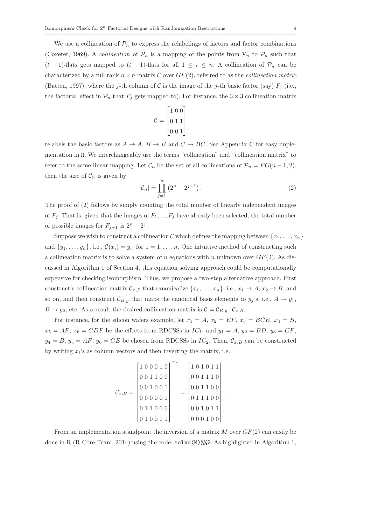We use a collineation of  $\mathcal{P}_n$  to express the relabelings of factors and factor combinations (Coxeter, 1969). A *collineation* of  $\mathcal{P}_n$  is a mapping of the points from  $\mathcal{P}_n$  to  $\mathcal{P}_n$  such that  $(t-1)$ -flats gets mapped to  $(t-1)$ -flats for all  $1 \leq t \leq n$ . A collineation of  $\mathcal{P}_n$  can be characterized by a full rank  $n \times n$  matrix C over  $GF(2)$ , referred to as the *collineation matrix* (Batten, 1997), where the j-th column of C is the image of the j-th basic factor (say)  $F_i$  (i.e., the factorial effect in  $\mathcal{P}_n$  that  $F_j$  gets mapped to). For instance, the  $3 \times 3$  collineation matrix

$$
\mathcal{C} = \begin{bmatrix} 1 & 0 & 0 \\ 0 & 1 & 1 \\ 0 & 0 & 1 \end{bmatrix}
$$

relabels the basic factors as  $A \to A$ ,  $B \to B$  and  $C \to BC$ . See Appendix C for easy implementation in R. We interchangeably use the terms "collineation" and "collineation matrix" to refer to the same linear mapping. Let  $\mathcal{C}_n$  be the set of all collineations of  $\mathcal{P}_n = PG(n-1, 2)$ , then the size of  $\mathcal{C}_n$  is given by

$$
|\mathcal{C}_n| = \prod_{j=1}^n (2^n - 2^{j-1}).
$$
 (2)

.

The proof of (2) follows by simply counting the total number of linearly independent images of  $F_i$ . That is, given that the images of  $F_1, ..., F_i$  have already been selected, the total number of possible images for  $F_{j+1}$  is  $2^n - 2^j$ .

Suppose we wish to construct a collineation C which defines the mapping between  $\{x_1, \ldots, x_n\}$ and  $\{y_1, \ldots, y_n\}$ , i.e.,  $\mathcal{C}(x_i) = y_i$ , for  $1 = 1, \ldots, n$ . One intuitive method of constructing such a collineation matrix is to solve a system of n equations with n unknown over  $GF(2)$ . As discussed in Algorithm 1 of Section 4, this equation solving approach could be computationally expensive for checking isomorphism. Thus, we propose a two-step alternative approach. First construct a collineation matrix  $\mathcal{C}_{x,B}$  that canonicalize  $\{x_1, \ldots, x_n\}$ , i.e.,  $x_1 \to A$ ,  $x_2 \to B$ , and so on, and then construct  $\mathcal{C}_{B,y}$  that maps the canonical basis elements to  $y_j$ 's, i.e.,  $A \to y_1$ ,  $B \to y_2$ , etc. As a result the desired collineation matrix is  $\mathcal{C} = \mathcal{C}_{B,y} \cdot \mathcal{C}_{x,B}$ .

For instance, for the silicon wafers example, let  $x_1 = A$ ,  $x_2 = EF$ ,  $x_3 = BCE$ ,  $x_4 = B$ ,  $x_5 = AF$ ,  $x_6 = CDF$  be the effects from RDCSSs in  $IC_1$ , and  $y_1 = A$ ,  $y_2 = BD$ ,  $y_3 = CF$ ,  $y_4 = B$ ,  $y_5 = AF$ ,  $y_6 = CE$  be chosen from RDCSSs in  $IC_2$ . Then,  $\mathcal{C}_{x,B}$  can be constructed by writing  $x_i$ 's as column vectors and then inverting the matrix, i.e.,

$$
\mathcal{C}_{x,B} = \begin{bmatrix} 1 & 0 & 0 & 0 & 1 & 0 \\ 0 & 0 & 1 & 1 & 0 & 0 \\ 0 & 0 & 1 & 0 & 0 & 1 \\ 0 & 0 & 0 & 0 & 1 & 1 \\ 0 & 1 & 1 & 0 & 0 & 0 \\ 0 & 1 & 0 & 0 & 1 & 1 \end{bmatrix} = \begin{bmatrix} 1 & 0 & 1 & 0 & 1 & 1 \\ 0 & 0 & 1 & 1 & 1 & 0 \\ 0 & 0 & 1 & 1 & 0 & 0 \\ 0 & 1 & 1 & 1 & 0 & 0 \\ 0 & 0 & 1 & 0 & 1 & 1 \\ 0 & 0 & 0 & 1 & 0 & 0 \end{bmatrix}
$$

From an implementation standpoint the inversion of a matrix  $M$  over  $GF(2)$  can easily be done in R (R Core Team, 2014) using the code: solve(M)%%2. As highlighted in Algorithm 1,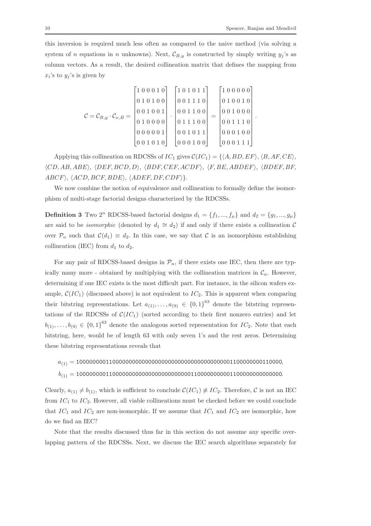.

this inversion is required much less often as compared to the naive method (via solving a system of n equations in n unknowns). Next,  $\mathcal{C}_{B,y}$  is constructed by simply writing  $y_j$ 's as column vectors. As a result, the desired collineation matrix that defines the mapping from  $x_i$ 's to  $y_j$ 's is given by

$$
\mathcal{C} = \mathcal{C}_{B,y} \cdot \mathcal{C}_{x,B} = \begin{bmatrix} 1 & 0 & 0 & 0 & 1 & 0 \\ 0 & 1 & 0 & 1 & 0 & 0 \\ 0 & 0 & 1 & 0 & 0 & 1 \\ 0 & 0 & 0 & 0 & 0 & 1 \\ 0 & 0 & 0 & 0 & 0 & 1 \\ 0 & 0 & 1 & 0 & 1 & 0 \end{bmatrix} \cdot \begin{bmatrix} 1 & 0 & 1 & 0 & 1 & 1 \\ 0 & 0 & 1 & 1 & 1 & 0 \\ 0 & 0 & 1 & 1 & 1 & 0 \\ 0 & 1 & 1 & 1 & 0 & 0 \\ 0 & 0 & 1 & 0 & 1 & 1 \\ 0 & 0 & 0 & 1 & 0 & 1 \end{bmatrix} = \begin{bmatrix} 1 & 0 & 0 & 0 & 0 & 0 \\ 0 & 1 & 0 & 0 & 1 & 0 \\ 0 & 0 & 1 & 0 & 0 & 0 \\ 0 & 0 & 1 & 1 & 1 & 0 \\ 0 & 0 & 0 & 1 & 0 & 0 \\ 0 & 0 & 0 & 1 & 0 & 1 \end{bmatrix}
$$

Applying this collineation on RDCSSs of  $IC_1$  gives  $\mathcal{C}(IC_1) = \{ \langle A, BD, EF \rangle, \langle B, AF, CE \rangle, \}$  $\langle CD, AB, ABE \rangle$ ,  $\langle DEF, BCD, D \rangle$ ,  $\langle BDF, CEF, ACDF \rangle$ ,  $\langle F, BE, ABDEF \rangle$ ,  $\langle BDEF, BF,$  $ABCF$ ,  $\langle ACD, BCF, BDE \rangle$ ,  $\langle ADEF, DF, CDF \rangle$ .

We now combine the notion of equivalence and collineation to formally define the isomorphism of multi-stage factorial designs characterized by the RDCSSs.

**Definition 3** Two  $2^n$  RDCSS-based factorial designs  $d_1 = \{f_1, ..., f_\mu\}$  and  $d_2 = \{g_1, ..., g_\mu\}$ are said to be *isomorphic* (denoted by  $d_1 \cong d_2$ ) if and only if there exists a collineation C over  $\mathcal{P}_n$  such that  $\mathcal{C}(d_1) \equiv d_2$ . In this case, we say that C is an isomorphism establishing collineation (IEC) from  $d_1$  to  $d_2$ .

For any pair of RDCSS-based designs in  $\mathcal{P}_n$ , if there exists one IEC, then there are typically many more - obtained by multiplying with the collineation matrices in  $\mathcal{C}_n$ . However, determining if one IEC exists is the most difficult part. For instance, in the silicon wafers example,  $\mathcal{C}(IC_1)$  (discussed above) is not equivalent to  $IC_2$ . This is apparent when comparing their bitstring representations. Let  $a_{(1)}, \ldots, a_{(9)} \in \{0,1\}^{63}$  denote the bitstring representations of the RDCSSs of  $C(IC_1)$  (sorted according to their first nonzero entries) and let  $b_{(1)}, \ldots, b_{(9)} \in \{0,1\}^{63}$  denote the analogous sorted representation for  $IC_2$ . Note that each bitstring, here, would be of length 63 with only seven 1's and the rest zeros. Determining these bitstring representations reveals that

a(1) = 100000000110000000000000000000000000000000000001100000000110000,

b(1) = 100000000110000000000000000000000001100000000001100000000000000.

Clearly,  $a_{(1)} \neq b_{(1)}$ , which is sufficient to conclude  $\mathcal{C}(IC_1) \neq IC_2$ . Therefore, C is not an IEC from  $IC_1$  to  $IC_2$ . However, all viable collineations must be checked before we could conclude that  $IC_1$  and  $IC_2$  are non-isomorphic. If we assume that  $IC_1$  and  $IC_2$  are isomorphic, how do we find an IEC?

Note that the results discussed thus far in this section do not assume any specific overlapping pattern of the RDCSSs. Next, we discuss the IEC search algorithms separately for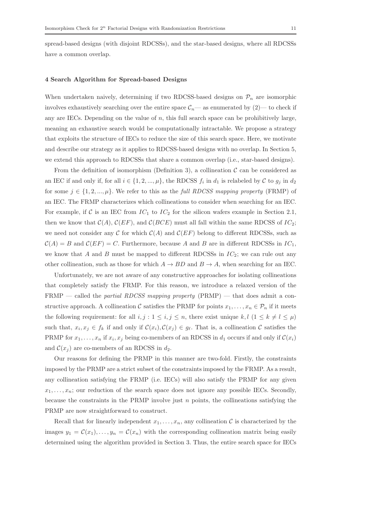spread-based designs (with disjoint RDCSSs), and the star-based designs, where all RDCSSs have a common overlap.

## 4 Search Algorithm for Spread-based Designs

When undertaken naively, determining if two RDCSS-based designs on  $\mathcal{P}_n$  are isomorphic involves exhaustively searching over the entire space  $\mathcal{C}_n$ — as enumerated by (2)— to check if any are IECs. Depending on the value of n, this full search space can be prohibitively large, meaning an exhaustive search would be computationally intractable. We propose a strategy that exploits the structure of IECs to reduce the size of this search space. Here, we motivate and describe our strategy as it applies to RDCSS-based designs with no overlap. In Section 5, we extend this approach to RDCSSs that share a common overlap (i.e., star-based designs).

From the definition of isomorphism (Definition 3), a collineation  $\mathcal C$  can be considered as an IEC if and only if, for all  $i \in \{1, 2, ..., \mu\}$ , the RDCSS  $f_i$  in  $d_1$  is relabeled by  $C$  to  $g_j$  in  $d_2$ for some  $j \in \{1, 2, ..., \mu\}$ . We refer to this as the full RDCSS mapping property (FRMP) of an IEC. The FRMP characterizes which collineations to consider when searching for an IEC. For example, if C is an IEC from  $IC_1$  to  $IC_2$  for the silicon wafers example in Section 2.1, then we know that  $C(A)$ ,  $C(EF)$ , and  $C(BCE)$  must all fall within the same RDCSS of  $IC_2$ ; we need not consider any C for which  $C(A)$  and  $C(EF)$  belong to different RDCSSs, such as  $C(A) = B$  and  $C(EF) = C$ . Furthermore, because A and B are in different RDCSSs in  $IC<sub>1</sub>$ , we know that A and B must be mapped to different RDCSSs in  $IC_2$ ; we can rule out any other collineation, such as those for which  $A \rightarrow BD$  and  $B \rightarrow A$ , when searching for an IEC.

Unfortunately, we are not aware of any constructive approaches for isolating collineations that completely satisfy the FRMP. For this reason, we introduce a relaxed version of the FRMP — called the *partial RDCSS mapping property*  $(PRMP)$  — that does admit a constructive approach. A collineation C satisfies the PRMP for points  $x_1, \ldots, x_n \in \mathcal{P}_n$  if it meets the following requirement: for all  $i, j : 1 \leq i, j \leq n$ , there exist unique  $k, l \ (1 \leq k \neq l \leq \mu)$ such that,  $x_i, x_j \in f_k$  if and only if  $\mathcal{C}(x_i), \mathcal{C}(x_j) \in g_\ell$ . That is, a collineation C satisfies the PRMP for  $x_1, \ldots, x_n$  if  $x_i, x_j$  being co-members of an RDCSS in  $d_1$  occurs if and only if  $\mathcal{C}(x_i)$ and  $\mathcal{C}(x_j)$  are co-members of an RDCSS in  $d_2$ .

Our reasons for defining the PRMP in this manner are two-fold. Firstly, the constraints imposed by the PRMP are a strict subset of the constraints imposed by the FRMP. As a result, any collineation satisfying the FRMP (i.e. IECs) will also satisfy the PRMP for any given  $x_1, \ldots, x_n$ ; our reduction of the search space does not ignore any possible IECs. Secondly, because the constraints in the PRMP involve just  $n$  points, the collineations satisfying the PRMP are now straightforward to construct.

Recall that for linearly independent  $x_1, \ldots, x_n$ , any collineation C is characterized by the images  $y_1 = \mathcal{C}(x_1), \ldots, y_n = \mathcal{C}(x_n)$  with the corresponding collineation matrix being easily determined using the algorithm provided in Section 3. Thus, the entire search space for IECs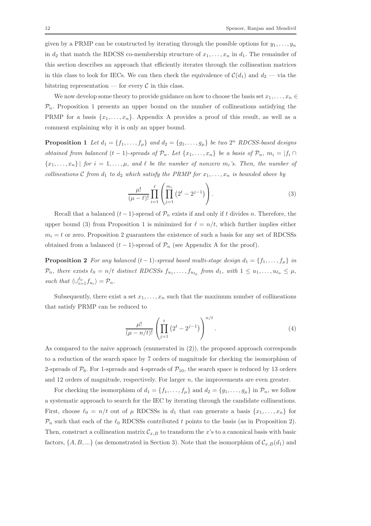given by a PRMP can be constructed by iterating through the possible options for  $y_1, \ldots, y_n$ in  $d_2$  that match the RDCSS co-membership structure of  $x_1, \ldots, x_n$  in  $d_1$ . The remainder of this section describes an approach that efficiently iterates through the collineation matrices in this class to look for IECs. We can then check the equivalence of  $\mathcal{C}(d_1)$  and  $d_2$  — via the bitstring representation — for every  $\mathcal C$  in this class.

We now develop some theory to provide guidance on how to choose the basis set  $x_1, \ldots, x_n \in$  $\mathcal{P}_n$ . Proposition 1 presents an upper bound on the number of collineations satisfying the PRMP for a basis  $\{x_1, \ldots, x_n\}$ . Appendix A provides a proof of this result, as well as a comment explaining why it is only an upper bound.

**Proposition 1** Let  $d_1 = \{f_1, \ldots, f_\mu\}$  and  $d_2 = \{g_1, \ldots, g_\mu\}$  be two  $2^n$  RDCSS-based designs obtained from balanced  $(t - 1)$ -spreads of  $\mathcal{P}_n$ . Let  $\{x_1, \ldots, x_n\}$  be a basis of  $\mathcal{P}_n$ ,  $m_i = |f_i \cap$  ${x_1, \ldots, x_n}$  for  $i = 1, \ldots, \mu$ , and  $\ell$  be the number of nonzero  $m_i$ 's. Then, the number of collineations C from  $d_1$  to  $d_2$  which satisfy the PRMP for  $x_1, \ldots, x_n$  is bounded above by

$$
\frac{\mu!}{(\mu-\ell)!} \prod_{i=1}^{\ell} \left( \prod_{j=1}^{m_i} \left( 2^t - 2^{j-1} \right) \right).
$$
 (3)

Recall that a balanced  $(t-1)$ -spread of  $\mathcal{P}_n$  exists if and only if t divides n. Therefore, the upper bound (3) from Proposition 1 is minimized for  $\ell = n/t$ , which further implies either  $m<sub>i</sub> = t$  or zero. Proposition 2 guarantees the existence of such a basis for any set of RDCSSs obtained from a balanced  $(t-1)$ -spread of  $\mathcal{P}_n$  (see Appendix A for the proof).

**Proposition 2** For any balanced  $(t - 1)$ -spread based multi-stage design  $d_1 = \{f_1, \ldots, f_\mu\}$  in  $\mathcal{P}_n$ , there exists  $l_0 = n/t$  distinct RDCSSs  $f_{u_1}, \ldots, f_{u_{\ell_0}}$  from  $d_1$ , with  $1 \le u_1, \ldots, u_{\ell_0} \le \mu$ , such that  $\langle \cup_{i=1}^{\ell_0} f_{u_i} \rangle = \mathcal{P}_n$ .

Subsequently, there exist a set  $x_1, \ldots, x_n$  such that the maximum number of collineations that satisfy PRMP can be reduced to

$$
\frac{\mu!}{(\mu - n/t)!} \left( \prod_{j=1}^{t} \left( 2^{t} - 2^{j-1} \right) \right)^{n/t} . \tag{4}
$$

As compared to the naive approach (enumerated in (2)), the proposed approach corresponds to a reduction of the search space by 7 orders of magnitude for checking the isomorphism of 2-spreads of  $\mathcal{P}_6$ . For 1-spreads and 4-spreads of  $\mathcal{P}_{10}$ , the search space is reduced by 13 orders and 12 orders of magnitude, respectively. For larger n, the improvements are even greater.

For checking the isomorphism of  $d_1 = \{f_1, \ldots, f_\mu\}$  and  $d_2 = \{g_1, \ldots, g_\mu\}$  in  $\mathcal{P}_n$ , we follow a systematic approach to search for the IEC by iterating through the candidate collineations. First, choose  $\ell_0 = n/t$  out of  $\mu$  RDCSSs in  $d_1$  that can generate a basis  $\{x_1, \ldots, x_n\}$  for  $\mathcal{P}_n$  such that each of the  $\ell_0$  RDCSSs contributed t points to the basis (as in Proposition 2). Then, construct a collineation matrix  $\mathcal{C}_{x,B}$  to transform the x's to a canonical basis with basic factors,  $\{A, B, ...\}$  (as demonstrated in Section 3). Note that the isomorphism of  $\mathcal{C}_{x,B}(d_1)$  and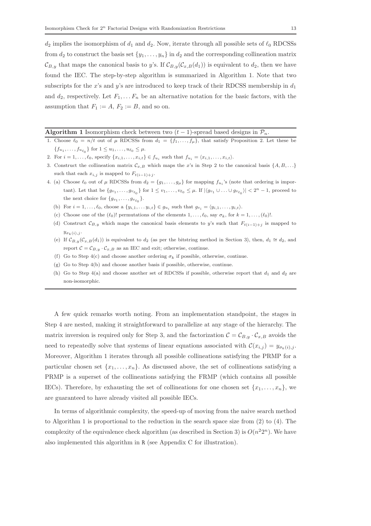$d_2$  implies the isomorphism of  $d_1$  and  $d_2$ . Now, iterate through all possible sets of  $\ell_0$  RDCSSs from  $d_2$  to construct the basis set  $\{y_1, \ldots, y_n\}$  in  $d_2$  and the corresponding collineation matrix  $\mathcal{C}_{B,y}$  that maps the canonical basis to y's. If  $\mathcal{C}_{B,y}(\mathcal{C}_{x,B}(d_1))$  is equivalent to  $d_2$ , then we have found the IEC. The step-by-step algorithm is summarized in Algorithm 1. Note that two subscripts for the x's and y's are introduced to keep track of their RDCSS membership in  $d_1$ and  $d_2$ , respectively. Let  $F_1, \ldots F_n$  be an alternative notation for the basic factors, with the assumption that  $F_1 := A, F_2 := B$ , and so on.

## Algorithm 1 Isomorphism check between two  $(t-1)$ -spread based designs in  $\mathcal{P}_n$ .

- 1. Choose  $\ell_0 = n/t$  out of  $\mu$  RDCSSs from  $d_1 = \{f_1, \ldots, f_{\mu}\}\$ , that satisfy Proposition 2. Let these be  $\{f_{u_1}, \ldots, f_{u_{\ell_0}}\}\$ for  $1 \leq u_1, \ldots, u_{\ell_0} \leq \mu$ .
- 2. For  $i = 1, \ldots, \ell_0$ , specify  $\{x_{i,1}, \ldots, x_{i,t}\} \in f_{u_i}$  such that  $f_{u_i} = \langle x_{i,1}, \ldots, x_{i,t} \rangle$ .
- 3. Construct the collineation matrix  $\mathcal{C}_{x,B}$  which maps the x's in Step 2 to the canonical basis  $\{A, B, \ldots\}$ such that each  $x_{i,j}$  is mapped to  $F_{t(i-1)+j}$ .
- 4. (a) Choose  $\ell_0$  out of  $\mu$  RDCSSs from  $d_2 = \{g_1, \ldots, g_\mu\}$  for mapping  $f_{u_i}$ 's (note that ordering is important). Let that be  $\{g_{v_1},\ldots,g_{v_{\ell_0}}\}$  for  $1\leq v_1,\ldots,v_{\ell_0}\leq \mu$ . If  $|\langle g_{v_1}\cup\ldots\cup g_{v_{\ell_0}}\rangle| < 2^n-1$ , proceed to the next choice for  $\{g_{v_1}, \ldots, g_{v_{\ell_0}}\}.$ 
	- (b) For  $i = 1, \ldots, \ell_0$ , choose a  $\{y_{i,1}, \ldots y_{i,t}\} \in g_{u_i}$  such that  $g_{v_i} = \langle y_{i,1}, \ldots, y_{i,t} \rangle$ .
	- (c) Choose one of the  $(\ell_0)!$  permutations of the elements  $1, \ldots, \ell_0$ , say  $\sigma_k$ , for  $k = 1, \ldots, (\ell_0)!$ .
	- (d) Construct  $\mathcal{C}_{B,y}$  which maps the canonical basis elements to y's such that  $F_{t(i-1)+j}$  is mapped to  $y_{\sigma_k(i),j}$ .
	- (e) If  $C_{B,y}(C_{x,B}(d_1))$  is equivalent to  $d_2$  (as per the bitstring method in Section 3), then,  $d_1 \cong d_2$ , and report  $C = C_{B,y} \cdot C_{x,B}$  as an IEC and exit; otherwise, continue.
	- (f) Go to Step 4(c) and choose another ordering  $\sigma_k$  if possible, otherwise, continue.
	- (g) Go to Step 4(b) and choose another basis if possible, otherwise, continue.
	- (h) Go to Step 4(a) and choose another set of RDCSSs if possible, otherwise report that  $d_1$  and  $d_2$  are non-isomorphic.

A few quick remarks worth noting. From an implementation standpoint, the stages in Step 4 are nested, making it straightforward to parallelize at any stage of the hierarchy. The matrix inversion is required only for Step 3, and the factorization  $C = C_{B,y} \cdot C_{x,B}$  avoids the need to repeatedly solve that systems of linear equations associated with  $\mathcal{C}(x_{i,j}) = y_{\sigma_k(i),j}$ . Moreover, Algorithm 1 iterates through all possible collineations satisfying the PRMP for a particular chosen set  $\{x_1, \ldots, x_n\}$ . As discussed above, the set of collineations satisfying a PRMP is a superset of the collineations satisfying the FRMP (which contains all possible IECs). Therefore, by exhausting the set of collineations for one chosen set  $\{x_1, \ldots, x_n\}$ , we are guaranteed to have already visited all possible IECs.

In terms of algorithmic complexity, the speed-up of moving from the naive search method to Algorithm 1 is proportional to the reduction in the search space size from (2) to (4). The complexity of the equivalence check algorithm (as described in Section 3) is  $O(n^22^n)$ . We have also implemented this algorithm in R (see Appendix C for illustration).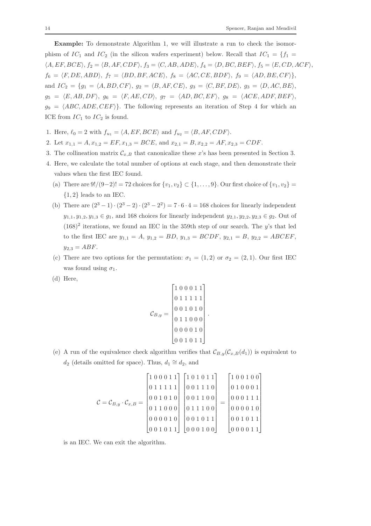Example: To demonstrate Algorithm 1, we will illustrate a run to check the isomorphism of  $IC_1$  and  $IC_2$  (in the silicon wafers experiment) below. Recall that  $IC_1 = \{f_1 =$  $\langle A, EF, BCE \rangle, f_2 = \langle B, AF, CDF \rangle, f_3 = \langle C, AB, ADE \rangle, f_4 = \langle D, BC, BEF \rangle, f_5 = \langle E, CD, ACF \rangle,$  $f_6 = \langle F, DE, ABD \rangle, f_7 = \langle BD, BF, ACE \rangle, f_8 = \langle AC, CE, BDF \rangle, f_9 = \langle AD, BE, CF \rangle,$ and  $IC_2 = \{g_1 = \langle A, BD, CF \rangle, g_2 = \langle B, AF, CE \rangle, g_3 = \langle C, BF, DE \rangle, g_3 = \langle D, AC, BE \rangle,$  $g_5 = \langle E, AB, DF \rangle, g_6 = \langle F, AE, CD \rangle, g_7 = \langle AD, BC, EF \rangle, g_8 = \langle ACE, ADF, BEF \rangle,$  $g_9 = \langle ABC, ADE, CEF \rangle$ . The following represents an iteration of Step 4 for which an ICE from  $IC_1$  to  $IC_2$  is found.

- 1. Here,  $\ell_0 = 2$  with  $f_{u_1} = \langle A, EF, BCE \rangle$  and  $f_{u_2} = \langle B, AF, CDF \rangle$ .
- 2. Let  $x_{1,1} = A, x_{1,2} = EF, x_{1,3} = BCE$ , and  $x_{2,1} = B, x_{2,2} = AF, x_{2,3} = CDF$ .
- 3. The collineation matrix  $\mathcal{C}_{x,B}$  that canonicalize these x's has been presented in Section 3.
- 4. Here, we calculate the total number of options at each stage, and then demonstrate their values when the first IEC found.
	- (a) There are  $9!/(9-2)! = 72$  choices for  $\{v_1, v_2\} \subset \{1, \ldots, 9\}$ . Our first choice of  $\{v_1, v_2\} =$  ${1, 2}$  leads to an IEC.
	- (b) There are  $(2^3 1) \cdot (2^3 2) \cdot (2^3 2^2) = 7 \cdot 6 \cdot 4 = 168$  choices for linearly independent  $y_{1,1}, y_{1,2}, y_{1,3} \in q_1$ , and 168 choices for linearly independent  $y_{2,1}, y_{2,2}, y_{2,3} \in q_2$ . Out of  $(168)^2$  iterations, we found an IEC in the 359th step of our search. The y's that led to the first IEC are  $y_{1,1} = A$ ,  $y_{1,2} = BD$ ,  $y_{1,3} = BCDF$ ,  $y_{2,1} = B$ ,  $y_{2,2} = ABCEF$ ,  $y_{2,3} = ABF.$
	- (c) There are two options for the permutation:  $\sigma_1 = (1, 2)$  or  $\sigma_2 = (2, 1)$ . Our first IEC was found using  $\sigma_1$ .
	- (d) Here,

$$
\mathcal{C}_{B,y} = \begin{bmatrix} 1 & 0 & 0 & 0 & 1 & 1 \\ 0 & 1 & 1 & 1 & 1 & 1 \\ 0 & 0 & 1 & 0 & 1 & 0 \\ 0 & 1 & 1 & 0 & 0 & 0 \\ 0 & 0 & 0 & 0 & 1 & 0 \\ 0 & 0 & 0 & 0 & 1 & 1 \end{bmatrix}.
$$

(e) A run of the equivalence check algorithm verifies that  $\mathcal{C}_{B,y}(\mathcal{C}_{x,B}(d_1))$  is equivalent to  $d_2$  (details omitted for space). Thus,  $d_1 \cong d_2$ , and

$$
\mathcal{C} = \mathcal{C}_{B,y} \cdot \mathcal{C}_{x,B} = \begin{bmatrix} 1 & 0 & 0 & 0 & 1 & 1 \\ 0 & 1 & 1 & 1 & 1 & 1 \\ 0 & 0 & 1 & 0 & 1 & 0 \\ 0 & 1 & 1 & 0 & 0 & 0 \\ 0 & 1 & 1 & 0 & 0 & 0 \\ 0 & 0 & 0 & 0 & 1 & 0 \\ 0 & 0 & 1 & 0 & 1 & 1 \end{bmatrix} \begin{bmatrix} 1 & 0 & 1 & 0 & 1 & 1 \\ 0 & 0 & 1 & 1 & 1 & 0 \\ 0 & 0 & 1 & 1 & 1 & 0 \\ 0 & 1 & 1 & 0 & 0 & 0 \\ 0 & 0 & 1 & 0 & 1 & 1 \\ 0 & 0 & 0 & 1 & 0 & 0 \end{bmatrix} = \begin{bmatrix} 1 & 0 & 0 & 1 & 0 & 0 \\ 0 & 1 & 0 & 0 & 0 & 0 \\ 0 & 0 & 0 & 1 & 1 & 1 \\ 0 & 0 & 0 & 1 & 1 & 1 \\ 0 & 0 & 0 & 0 & 1 & 0 \\ 0 & 0 & 0 & 0 & 1 & 1 \\ 0 & 0 & 0 & 0 & 1 & 1 \end{bmatrix}
$$

is an IEC. We can exit the algorithm.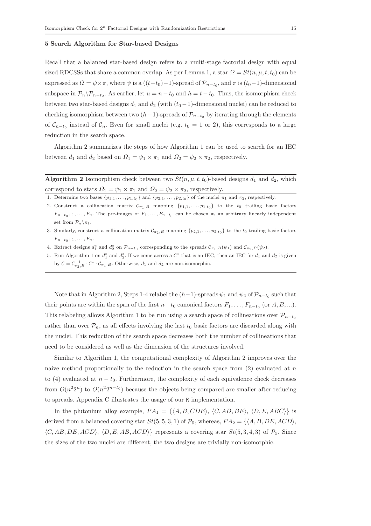## 5 Search Algorithm for Star-based Designs

Recall that a balanced star-based design refers to a multi-stage factorial design with equal sized RDCSSs that share a common overlap. As per Lemma 1, a star  $\Omega = St(n, \mu, t, t_0)$  can be expressed as  $\Omega = \psi \times \pi$ , where  $\psi$  is a  $((t-t_0)-1)$ -spread of  $\mathcal{P}_{n-t_0}$ , and  $\pi$  is  $(t_0-1)$ -dimensional subspace in  $\mathcal{P}_n \backslash \mathcal{P}_{n-t_0}$ . As earlier, let  $u = n-t_0$  and  $h = t-t_0$ . Thus, the isomorphism check between two star-based designs  $d_1$  and  $d_2$  (with  $(t_0 - 1)$ -dimensional nuclei) can be reduced to checking isomorphism between two  $(h-1)$ -spreads of  $\mathcal{P}_{n-t_0}$  by iterating through the elements of  $\mathcal{C}_{n-t_0}$  instead of  $\mathcal{C}_n$ . Even for small nuclei (e.g.  $t_0 = 1$  or 2), this corresponds to a large reduction in the search space.

Algorithm 2 summarizes the steps of how Algorithm 1 can be used to search for an IEC between  $d_1$  and  $d_2$  based on  $\Omega_1 = \psi_1 \times \pi_1$  and  $\Omega_2 = \psi_2 \times \pi_2$ , respectively.

**Algorithm 2** Isomorphism check between two  $St(n, \mu, t, t_0)$ -based designs  $d_1$  and  $d_2$ , which correspond to stars  $\Omega_1 = \psi_1 \times \pi_1$  and  $\Omega_2 = \psi_2 \times \pi_2$ , respectively.

- 1. Determine two bases  $\{p_{1,1},\ldots,p_{1,t_0}\}$  and  $\{p_{2,1},\ldots,p_{2,t_0}\}$  of the nuclei  $\pi_1$  and  $\pi_2$ , respectively.
- 2. Construct a collineation matrix  $\mathcal{C}_{\pi_1,B}$  mapping  $\{p_{1,1},\ldots,p_{1,t_0}\}\;$  to the  $t_0$  trailing basic factors  $F_{n-t_0+1}, \ldots, F_n$ . The pre-images of  $F_1, \ldots, F_{n-t_0}$  can be chosen as an arbitrary linearly independent set from  $\mathcal{P}_n \backslash \pi_1$ .
- 3. Similarly, construct a collineation matrix  $\mathcal{C}_{\pi_2,B}$  mapping  $\{p_{2,1},\ldots,p_{2,t_0}\}$  to the  $t_0$  trailing basic factors  $F_{n-t_0+1}, \ldots, F_n$ .
- 4. Extract designs  $d_1^*$  and  $d_2^*$  on  $\mathcal{P}_{n-t_0}$  corresponding to the spreads  $\mathcal{C}_{\pi_1,B}(\psi_1)$  and  $\mathcal{C}_{\pi_2,B}(\psi_2)$ .
- 5. Run Algorithm 1 on  $d_1^*$  and  $d_2^*$ . If we come across a  $\mathcal{C}^*$  that is an IEC, then an IEC for  $d_1$  and  $d_2$  is given by  $C = C_{\pi_2, B}^{-1} \cdot C^* \cdot C_{\pi_1, B}$ . Otherwise,  $d_1$  and  $d_2$  are non-isomorphic.

Note that in Algorithm 2, Steps 1-4 relabel the  $(h-1)$ -spreads  $\psi_1$  and  $\psi_2$  of  $\mathcal{P}_{n-t_0}$  such that their points are within the span of the first  $n-t_0$  canonical factors  $F_1, \ldots, F_{n-t_0}$  (or  $A, B, \ldots$ ). This relabeling allows Algorithm 1 to be run using a search space of collineations over  $\mathcal{P}_{n-t_0}$ rather than over  $\mathcal{P}_n$ , as all effects involving the last  $t_0$  basic factors are discarded along with the nuclei. This reduction of the search space decreases both the number of collineations that need to be considered as well as the dimension of the structures involved.

Similar to Algorithm 1, the computational complexity of Algorithm 2 improves over the naive method proportionally to the reduction in the search space from  $(2)$  evaluated at n to (4) evaluated at  $n - t_0$ . Furthermore, the complexity of each equivalence check decreases from  $O(n^2 2^n)$  to  $O(n^2 2^{n-t_0})$  because the objects being compared are smaller after reducing to spreads. Appendix C illustrates the usage of our R implementation.

In the plutonium alloy example,  $PA_1 = \{ \langle A, B, CDE \rangle, \langle C, AD, BE \rangle, \langle D, E, ABC \rangle \}$  is derived from a balanced covering star  $St(5, 5, 3, 1)$  of  $\mathcal{P}_5$ , whereas,  $PA_2 = \{ \langle A, B, DE, ACD \rangle, \}$  $\langle C, AB, DE, ACD \rangle$ ,  $\langle D, E, AB, ACD \rangle$  represents a covering star  $St(5, 3, 4, 3)$  of  $\mathcal{P}_5$ . Since the sizes of the two nuclei are different, the two designs are trivially non-isomorphic.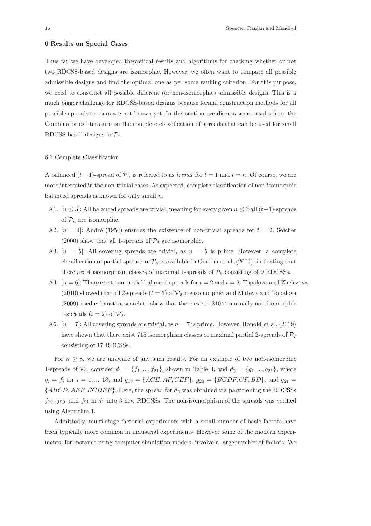## 6 Results on Special Cases

Thus far we have developed theoretical results and algorithms for checking whether or not two RDCSS-based designs are isomorphic. However, we often want to compare all possible admissible designs and find the optimal one as per some ranking criterion. For this purpose, we need to construct all possible different (or non-isomorphic) admissible designs. This is a much bigger challenge for RDCSS-based designs because formal construction methods for all possible spreads or stars are not known yet. In this section, we discuss some results from the Combinatorics literature on the complete classification of spreads that can be used for small RDCSS-based designs in  $\mathcal{P}_n$ .

#### 6.1 Complete Classification

A balanced  $(t-1)$ -spread of  $\mathcal{P}_n$  is referred to as *trivial* for  $t = 1$  and  $t = n$ . Of course, we are more interested in the non-trivial cases. As expected, complete classification of non-isomorphic balanced spreads is known for only small  $n$ .

- A1.  $[n \leq 3]$ : All balanced spreads are trivial, meaning for every given  $n \leq 3$  all  $(t-1)$ -spreads of  $\mathcal{P}_n$  are isomorphic.
- A2.  $[n = 4]$ : André (1954) ensures the existence of non-trivial spreads for  $t = 2$ . Soicher (2000) show that all 1-spreads of  $\mathcal{P}_4$  are isomorphic.
- A3.  $[n = 5]$ : All covering spreads are trivial, as  $n = 5$  is prime. However, a complete classification of partial spreads of  $\mathcal{P}_5$  is available in Gordon et al. (2004), indicating that there are 4 isomorphism classes of maximal 1-spreads of  $\mathcal{P}_5$  consisting of 9 RDCSSs.
- A4.  $[n = 6]$ : There exist non-trivial balanced spreads for  $t = 2$  and  $t = 3$ . Topalova and Zhelezova (2010) showed that all 2-spreads  $(t = 3)$  of  $\mathcal{P}_6$  are isomorphic, and Mateva and Topalova (2009) used exhaustive search to show that there exist 131044 mutually non-isomorphic 1-spreads  $(t = 2)$  of  $\mathcal{P}_6$ .
- A5.  $[n = 7]$ : All covering spreads are trivial, as  $n = 7$  is prime. However, Honold et al. (2019) have shown that there exist 715 isomorphism classes of maximal partial 2-spreads of  $P_7$ consisting of 17 RDCSSs.

For  $n \geq 8$ , we are unaware of any such results. For an example of two non-isomorphic 1-spreads of  $\mathcal{P}_6$ , consider  $d_1 = \{f_1, ..., f_{21}\}$ , shown in Table 3, and  $d_2 = \{g_1, ..., g_{21}\}$ , where  $g_i = f_i$  for  $i = 1, ..., 18$ , and  $g_{19} = \{ACE, AF, CEF\}$ ,  $g_{20} = \{BCDF, CF, BD\}$ , and  $g_{21} =$  ${ABCD, AEF, BCDEF}$ . Here, the spread for  $d_2$  was obtained via partitioning the RDCSSs  $f_{19}$ ,  $f_{20}$ , and  $f_{21}$  in  $d_1$  into 3 new RDCSSs. The non-isomorphism of the spreads was verified using Algorithm 1.

Admittedly, multi-stage factorial experiments with a small number of basic factors have been typically more common in industrial experiments. However some of the modern experiments, for instance using computer simulation models, involve a large number of factors. We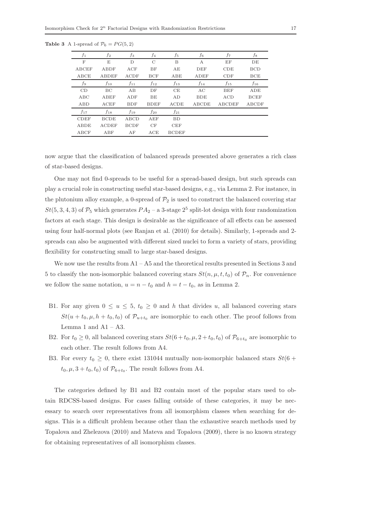| $f_1$        | $f_2$        | $f_3$       | $f_4$       | $f_5$        | f6           | f7            | $f_8$       |
|--------------|--------------|-------------|-------------|--------------|--------------|---------------|-------------|
| F            | E            | D           | C           | B            | А            | EF            | DE          |
| <b>ABCEF</b> | ABDF         | ACF         | BF          | AE           | DEF          | CDE           | <b>BCD</b>  |
| ABCE         | <b>ABDEF</b> | <b>ACDF</b> | <b>BCF</b>  | ABE          | ADEF         | CDF           | <b>BCE</b>  |
| f9           | $f_{10}$     | $f_{11}$    | $f_{12}$    | $f_{13}$     | $f_{14}$     | $f_{15}$      | $f_{16}$    |
| CD           | BC           | AB          | DF          | CE           | AC           | <b>BEF</b>    | ADE         |
| ABC          | ABEF         | ADF         | BE          | AD           | <b>BDE</b>   | ACD           | <b>BCEF</b> |
| ABD          | ACEF         | <b>BDF</b>  | <b>BDEF</b> | ACDE         | <b>ABCDE</b> | <b>ABCDEF</b> | ABCDF       |
| $f_{17}$     | $f_{18}$     | $f_{19}$    | $f_{20}$    | $f_{21}$     |              |               |             |
| <b>CDEF</b>  | <b>BCDE</b>  | ABCD        | AEF         | <b>BD</b>    |              |               |             |
| <b>ABDE</b>  | <b>ACDEF</b> | <b>BCDF</b> | CF          | <b>CEF</b>   |              |               |             |
| ABCF         | ABF          | AF          | ACE         | <b>BCDEF</b> |              |               |             |

Table 3 A 1-spread of  $\mathcal{P}_6 = PG(5, 2)$ 

now argue that the classification of balanced spreads presented above generates a rich class of star-based designs.

One may not find 0-spreads to be useful for a spread-based design, but such spreads can play a crucial role in constructing useful star-based designs, e.g., via Lemma 2. For instance, in the plutonium alloy example, a 0-spread of  $\mathcal{P}_2$  is used to construct the balanced covering star  $St(5, 3, 4, 3)$  of  $\mathcal{P}_5$  which generates  $PA_2$  – a 3-stage  $2^5$  split-lot design with four randomization factors at each stage. This design is desirable as the significance of all effects can be assessed using four half-normal plots (see Ranjan et al. (2010) for details). Similarly, 1-spreads and 2 spreads can also be augmented with different sized nuclei to form a variety of stars, providing flexibility for constructing small to large star-based designs.

We now use the results from  $A1 - A5$  and the theoretical results presented in Sections 3 and 5 to classify the non-isomorphic balanced covering stars  $St(n, \mu, t, t_0)$  of  $\mathcal{P}_n$ . For convenience we follow the same notation,  $u = n - t_0$  and  $h = t - t_0$ , as in Lemma 2.

- B1. For any given  $0 \le u \le 5$ ,  $t_0 \ge 0$  and h that divides u, all balanced covering stars  $St(u + t_0, \mu, h + t_0, t_0)$  of  $\mathcal{P}_{u+t_0}$  are isomorphic to each other. The proof follows from Lemma 1 and  $A1 - A3$ .
- B2. For  $t_0 \ge 0$ , all balanced covering stars  $St(6+t_0, \mu, 2+t_0, t_0)$  of  $\mathcal{P}_{6+t_0}$  are isomorphic to each other. The result follows from A4.
- B3. For every  $t_0 \geq 0$ , there exist 131044 mutually non-isomorphic balanced stars  $St(6 +$  $t_0, \mu, 3 + t_0, t_0$  of  $\mathcal{P}_{6+t_0}$ . The result follows from A4.

The categories defined by B1 and B2 contain most of the popular stars used to obtain RDCSS-based designs. For cases falling outside of these categories, it may be necessary to search over representatives from all isomorphism classes when searching for designs. This is a difficult problem because other than the exhaustive search methods used by Topalova and Zhelezova (2010) and Mateva and Topalova (2009), there is no known strategy for obtaining representatives of all isomorphism classes.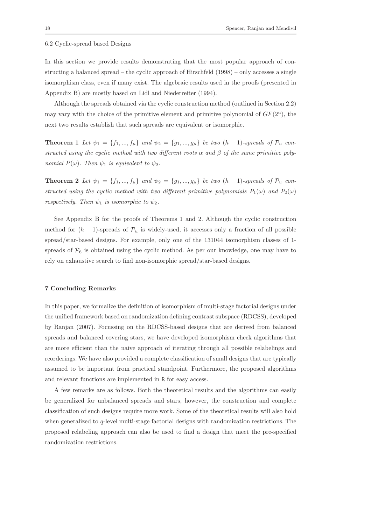## 6.2 Cyclic-spread based Designs

In this section we provide results demonstrating that the most popular approach of constructing a balanced spread – the cyclic approach of Hirschfeld (1998) – only accesses a single isomorphism class, even if many exist. The algebraic results used in the proofs (presented in Appendix B) are mostly based on Lidl and Niederreiter (1994).

Although the spreads obtained via the cyclic construction method (outlined in Section 2.2) may vary with the choice of the primitive element and primitive polynomial of  $GF(2<sup>u</sup>)$ , the next two results establish that such spreads are equivalent or isomorphic.

**Theorem 1** Let  $\psi_1 = \{f_1, ..., f_\mu\}$  and  $\psi_2 = \{g_1, ..., g_\mu\}$  be two  $(h-1)$ -spreads of  $\mathcal{P}_u$  constructed using the cyclic method with two different roots  $\alpha$  and  $\beta$  of the same primitive polynomial  $P(\omega)$ . Then  $\psi_1$  is equivalent to  $\psi_2$ .

**Theorem 2** Let  $\psi_1 = \{f_1, ..., f_\mu\}$  and  $\psi_2 = \{g_1, ..., g_\mu\}$  be two  $(h-1)$ -spreads of  $\mathcal{P}_u$  constructed using the cyclic method with two different primitive polynomials  $P_1(\omega)$  and  $P_2(\omega)$ respectively. Then  $\psi_1$  is isomorphic to  $\psi_2$ .

See Appendix B for the proofs of Theorems 1 and 2. Although the cyclic construction method for  $(h - 1)$ -spreads of  $\mathcal{P}_u$  is widely-used, it accesses only a fraction of all possible spread/star-based designs. For example, only one of the 131044 isomorphism classes of 1 spreads of  $P_6$  is obtained using the cyclic method. As per our knowledge, one may have to rely on exhaustive search to find non-isomorphic spread/star-based designs.

## 7 Concluding Remarks

In this paper, we formalize the definition of isomorphism of multi-stage factorial designs under the unified framework based on randomization defining contrast subspace (RDCSS), developed by Ranjan (2007). Focussing on the RDCSS-based designs that are derived from balanced spreads and balanced covering stars, we have developed isomorphism check algorithms that are more efficient than the naive approach of iterating through all possible relabelings and reorderings. We have also provided a complete classification of small designs that are typically assumed to be important from practical standpoint. Furthermore, the proposed algorithms and relevant functions are implemented in R for easy access.

A few remarks are as follows. Both the theoretical results and the algorithms can easily be generalized for unbalanced spreads and stars, however, the construction and complete classification of such designs require more work. Some of the theoretical results will also hold when generalized to q-level multi-stage factorial designs with randomization restrictions. The proposed relabeling approach can also be used to find a design that meet the pre-specified randomization restrictions.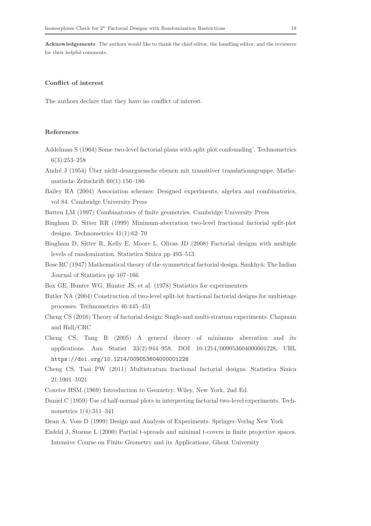Acknowledgements The authors would like to thank the chief editor, the handling editor, and the reviewers for their helpful comments.

## Conflict of interest

The authors declare that they have no conflict of interest.

## References

- Addelman S (1964) Some two-level factorial plans with split plot confounding'. Technometrics 6(3):253–258
- André J (1954) Über nicht-desarguessche ebenen mit transitiver translationsgruppe. Mathematische Zeitschrift 60(1):156–186
- Bailey RA (2004) Association schemes: Designed experiments, algebra and combinatorics, vol 84. Cambridge University Press
- Batten LM (1997) Combinatorics of finite geometries. Cambridge University Press
- Bingham D, Sitter RR (1999) Minimum-aberration two-level fractional factorial split-plot designs. Technometrics 41(1):62–70
- Bingham D, Sitter R, Kelly E, Moore L, Olivas JD (2008) Factorial designs with multiple levels of randomization. Statistica Sinica pp 493–513
- Bose RC (1947) Mathematical theory of the symmetrical factorial design. Sankhya: The Indian Journal of Statistics pp 107–166
- Box GE, Hunter WG, Hunter JS, et al. (1978) Statistics for experimenters
- Butler NA (2004) Construction of two-level split-lot fractional factorial designs for multistage processes. Technometrics 46:445–451
- Cheng CS (2016) Theory of factorial design: Single-and multi-stratum experiments. Chapman and Hall/CRC
- Cheng CS, Tang B (2005) A general theory of minimum aberration and its applications. Ann Statist 33(2):944–958, DOI 10.1214/009053604000001228, URL https://doi.org/10.1214/009053604000001228
- Cheng CS, Tsai PW (2011) Multistratum fractional factorial designs. Statistica Sinica 21:1001–1021
- Coxeter HSM (1969) Introduction to Geometry. Wiley, New York, 2nd Ed.
- Daniel C (1959) Use of half-normal plots in interpreting factorial two-level experiments. Technometrics 1(4):311–341
- Dean A, Voss D (1999) Design and Analysis of Experiments. Springer-Verlag New York
- Eisfeld J, Storme L (2000) Partial t-spreads and minimal t-covers in finite projective spaces. Intensive Course on Finite Geometry and its Applications, Ghent University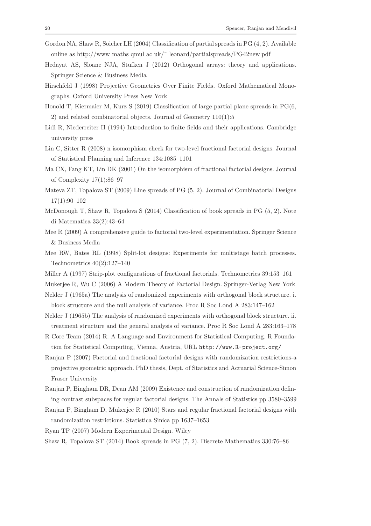- Gordon NA, Shaw R, Soicher LH (2004) Classification of partial spreads in PG (4, 2). Available online as http://www.maths.qmul ac.uk/ $\degree$  leonard/partialspreads/PG42new pdf
- Hedayat AS, Sloane NJA, Stufken J (2012) Orthogonal arrays: theory and applications. Springer Science & Business Media
- Hirschfeld J (1998) Projective Geometries Over Finite Fields. Oxford Mathematical Monographs. Oxford University Press New York
- Honold T, Kiermaier M, Kurz S (2019) Classification of large partial plane spreads in PG(6, 2) and related combinatorial objects. Journal of Geometry 110(1):5
- Lidl R, Niederreiter H (1994) Introduction to finite fields and their applications. Cambridge university press
- Lin C, Sitter R (2008) n isomorphism check for two-level fractional factorial designs. Journal of Statistical Planning and Inference 134:1085–1101
- Ma CX, Fang KT, Lin DK (2001) On the isomorphism of fractional factorial designs. Journal of Complexity 17(1):86–97
- Mateva ZT, Topalova ST (2009) Line spreads of PG (5, 2). Journal of Combinatorial Designs 17(1):90–102
- McDonough T, Shaw R, Topalova S (2014) Classification of book spreads in PG (5, 2). Note di Matematica 33(2):43–64
- Mee R (2009) A comprehensive guide to factorial two-level experimentation. Springer Science & Business Media
- Mee RW, Bates RL (1998) Split-lot designs: Experiments for multistage batch processes. Technometrics 40(2):127–140
- Miller A (1997) Strip-plot configurations of fractional factorials. Technometrics 39:153–161

Mukerjee R, Wu C (2006) A Modern Theory of Factorial Design. Springer-Verlag New York

- Nelder J (1965a) The analysis of randomized experiments with orthogonal block structure. i. block structure and the null analysis of variance. Proc R Soc Lond A 283:147–162
- Nelder J (1965b) The analysis of randomized experiments with orthogonal block structure. ii. treatment structure and the general analysis of variance. Proc R Soc Lond A 283:163–178
- R Core Team (2014) R: A Language and Environment for Statistical Computing. R Foundation for Statistical Computing, Vienna, Austria, URL http://www.R-project.org/
- Ranjan P (2007) Factorial and fractional factorial designs with randomization restrictions-a projective geometric approach. PhD thesis, Dept. of Statistics and Actuarial Science-Simon Fraser University
- Ranjan P, Bingham DR, Dean AM (2009) Existence and construction of randomization defining contrast subspaces for regular factorial designs. The Annals of Statistics pp 3580–3599
- Ranjan P, Bingham D, Mukerjee R (2010) Stars and regular fractional factorial designs with randomization restrictions. Statistica Sinica pp 1637–1653

Ryan TP (2007) Modern Experimental Design. Wiley

Shaw R, Topalova ST (2014) Book spreads in PG (7, 2). Discrete Mathematics 330:76–86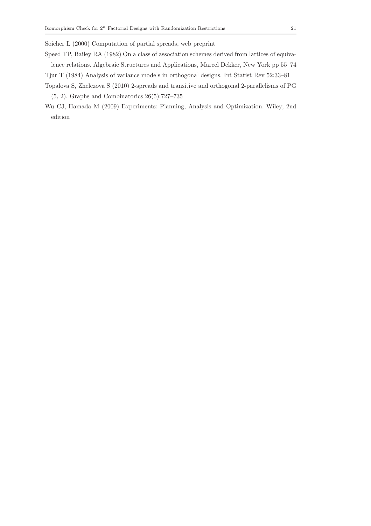Soicher L (2000) Computation of partial spreads, web preprint

Speed TP, Bailey RA (1982) On a class of association schemes derived from lattices of equivalence relations. Algebraic Structures and Applications, Marcel Dekker, New York pp 55–74

- Tjur T (1984) Analysis of variance models in orthogonal designs. Int Statist Rev 52:33–81
- Topalova S, Zhelezova S (2010) 2-spreads and transitive and orthogonal 2-parallelisms of PG (5, 2). Graphs and Combinatorics 26(5):727–735
- Wu CJ, Hamada M (2009) Experiments: Planning, Analysis and Optimization. Wiley; 2nd edition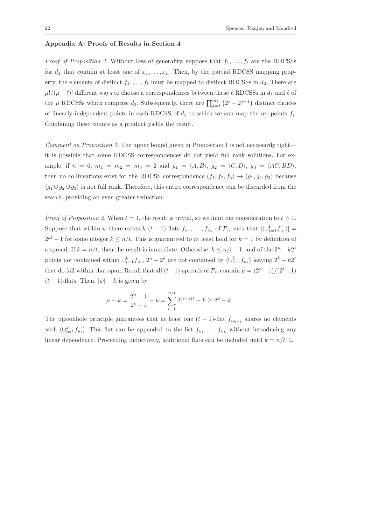# Appendix A: Proofs of Results in Section 4

*Proof of Proposition 1.* Without loss of generality, suppose that  $f_1, \ldots, f_\ell$  are the RDCSSs for  $d_1$  that contain at least one of  $x_1, \ldots, x_n$ . Then, by the partial RDCSS mapping property, the elements of distinct  $f_1, \ldots, f_\ell$  must be mapped to distinct RDCSSs in  $d_2$ . There are  $\mu!/(\mu-\ell)!$  different ways to choose a correspondences between these  $\ell$  RDCSSs in  $d_1$  and  $\ell$  of the  $\mu$  RDCSSs which comprise  $d_2$ . Subsequently, there are  $\prod_{j=1}^{m_i} (2^t - 2^{j-1})$  distinct choices of linearly independent points in each RDCSS of  $d_2$  to which we can map the  $m_i$  points  $f_i$ . Combining these counts as a product yields the result.

Comment on Proposition 1. The upper bound given in Proposition 1 is not necessarily tight it is possible that some RDCSS correspondences do not yield full rank solutions. For example, if  $n = 6$ ,  $m_1 = m_2 = m_3 = 2$  and  $g_1 = \langle A, B \rangle$ ,  $g_2 = \langle C, D \rangle$ ,  $g_3 = \langle AC, BD \rangle$ , then no collineations exist for the RDCSS correspondence  $(f_1, f_2, f_3) \rightarrow (g_1, g_2, g_3)$  because  $\langle g_1 \cup g_2 \cup g_3 \rangle$  is not full rank. Therefore, this entire correspondence can be discarded from the search, providing an even greater reduction.

*Proof of Proposition 2.* When  $t = 1$ , the result is trivial, so we limit our consideration to  $t > 1$ . Suppose that within  $\psi$  there exists  $k$  (t – 1)-flats  $f_{u_1}, \ldots, f_{u_k}$  of  $\mathcal{P}_n$  such that  $|\langle \bigcup_{i=1}^k f_{u_i} \rangle|$  =  $2^{kt} - 1$  for some integer  $k \leq n/t$ . This is guaranteed to at least hold for  $k = 1$  by definition of a spread. If  $k = n/t$ , then the result is immediate. Otherwise,  $k \leq n/t - 1$ , and of the  $2^n - k2^t$ points not contained within  $\cup_{i=1}^k f_{u_i}$ ,  $2^n - 2^k$  are not contained by  $\langle \cup_{i=1}^k f_{u_i} \rangle$  leaving  $2^k - k2^t$ that do fall within that span. Recall that all  $(t-1)$ -spreads of  $\mathcal{P}_n$  contain  $\mu = (2^n-1)/(2^t-1)$  $(t-1)$ -flats. Then,  $|\psi| - k$  is given by

$$
\mu - k = \frac{2^n - 1}{2^t - 1} - k = \sum_{i=1}^{n/t} 2^{(i-1)t} - k \ge 2^k - k.
$$

The pigeonhole principle guarantees that at least one  $(t-1)$ -flat  $f_{u_{k+1}}$  shares no elements with  $\langle \bigcup_{i=1}^k f_{u_i} \rangle$ . This flat can be appended to the list  $f_{u_i}, \ldots, f_{u_k}$  without introducing any linear dependence. Proceeding inductively, additional flats can be included until  $k = n/t$ .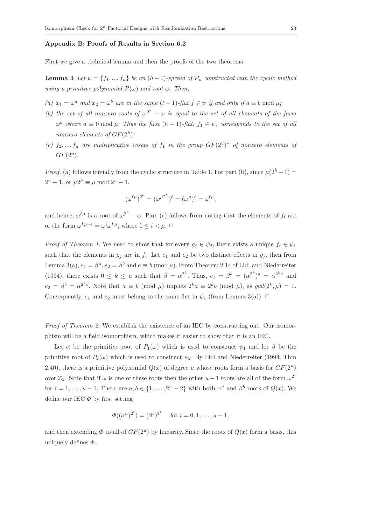## Appendix B: Proofs of Results in Section 6.2

First we give a technical lemma and then the proofs of the two theorems.

**Lemma 3** Let  $\psi = \{f_1, ..., f_\mu\}$  be an  $(h-1)$ -spread of  $\mathcal{P}_u$  constructed with the cyclic method using a primitive polynomial  $P(\omega)$  and root  $\omega$ . Then,

- (a)  $x_1 = \omega^a$  and  $x_2 = \omega^b$  are in the same  $(t-1)$ -flat  $f \in \psi$  if and only if  $a \equiv b \mod \mu$ ;
- (b) the set of all nonzero roots of  $\omega^{2^h} \omega$  is equal to the set of all elements of the form  $\omega^a$  where  $a \equiv 0 \mod \mu$ . Thus the first  $(h-1)$ -flat,  $f_1 \in \psi$ , corresponds to the set of all nonzero elements of  $GF(2<sup>h</sup>)$ ;
- (c)  $f_2, ..., f_\mu$  are multiplicative cosets of  $f_1$  in the group  $GF(2^u)^*$  of nonzero elements of  $GF(2^u)$ .

*Proof.* (a) follows trivially from the cyclic structure in Table 1. For part (b), since  $\mu(2^h - 1) =$  $2^u - 1$ , or  $\mu 2^h \equiv \mu \mod 2^u - 1$ ,

$$
(\omega^{\ell\mu})^{2^h}=(\omega^{\mu 2^h})^{\ell}=(\omega^{\mu})^{\ell}=\omega^{\ell\mu},
$$

and hence,  $\omega^{\ell\mu}$  is a root of  $\omega^{2^h} - \omega$ . Part (c) follows from noting that the elements of  $f_i$  are of the form  $\omega^{k\mu+i} = \omega^i \omega^{k\mu}$ , where  $0 \leq i \leq \mu$ .

*Proof of Theorem 1.* We need to show that for every  $g_i \in \psi_2$ , there exists a unique  $f_i \in \psi_1$ such that the elements in  $g_j$  are in  $f_i$ . Let  $e_1$  and  $e_2$  be two distinct effects in  $g_j$ , then from Lemma 3(a),  $e_1 = \beta^a$ ,  $e_2 = \beta^b$  and  $a \equiv b \pmod{\mu}$ . From Theorem 2.14 of Lidl and Niederreiter (1994), there exists  $0 \leq k \leq u$  such that  $\beta = \alpha^{2^k}$ . Thus,  $e_1 = \beta^a = (\alpha^{2^k})^a = \alpha^{2^k a}$  and  $e_2 = \beta^b = \alpha^{2^kb}$ . Note that  $a \equiv b \pmod{\mu}$  implies  $2^ka \equiv 2^kb \pmod{\mu}$ , as  $gcd(2^k, \mu) = 1$ . Consequently,  $e_1$  and  $e_2$  must belong to the same flat in  $\psi_1$  (from Lemma 3(a)).  $\Box$ 

Proof of Theorem 2. We establish the existence of an IEC by constructing one. Our isomorphism will be a field isomorphism, which makes it easier to show that it is an IEC.

Let  $\alpha$  be the primitive root of  $P_1(\omega)$  which is used to construct  $\psi_1$  and let  $\beta$  be the primitive root of  $P_2(\omega)$  which is used to construct  $\psi_2$ . By Lidl and Niederreiter (1994, Thm 2.40), there is a primitive polynomial  $Q(x)$  of degree u whose roots form a basis for  $GF(2^u)$ over  $\mathbb{Z}_2$ . Note that if  $\omega$  is one of these roots then the other  $u-1$  roots are all of the form  $\omega^{2^i}$ for  $i = 1, \ldots, u - 1$ . There are  $a, b \in \{1, \ldots, 2^u - 2\}$  with both  $\alpha^a$  and  $\beta^b$  roots of  $Q(x)$ . We define our IEC  $\Phi$  by first setting

$$
\Phi((\alpha^a)^{2^i}) = (\beta^b)^{2^i}
$$
 for  $i = 0, 1, ..., u - 1$ ,

and then extending  $\Phi$  to all of  $GF(2^u)$  by linearity. Since the roots of  $Q(x)$  form a basis, this uniquely defines  $\Phi$ .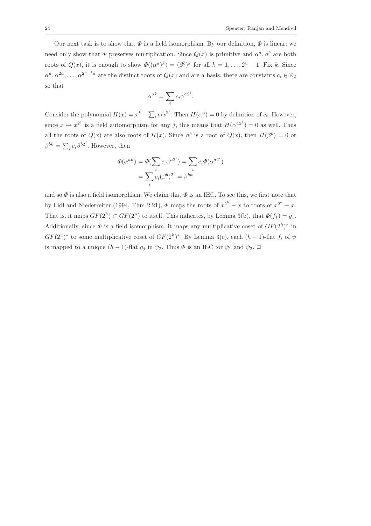Our next task is to show that  $\Phi$  is a field isomorphism. By our definition,  $\Phi$  is linear; we need only show that  $\Phi$  preserves multiplication. Since  $Q(x)$  is primitive and  $\alpha^a, \beta^b$  are both roots of  $Q(x)$ , it is enough to show  $\Phi((\alpha^a)^k) = (\beta^b)^k$  for all  $k = 1, ..., 2^u - 1$ . Fix k. Since  $\alpha^a, \alpha^{2a}, \ldots, \alpha^{2^{u-1}a}$  are the distinct roots of  $Q(x)$  and are a basis, there are constants  $c_i \in \mathbb{Z}_2$ so that

$$
\alpha^{ak} = \sum_i c_i \alpha^{a2^i}.
$$

Consider the polynomial  $H(x) = x^k - \sum_i c_i x^{2^i}$ . Then  $H(\alpha^a) = 0$  by definition of  $c_i$ . However, since  $x \mapsto x^{2^j}$  is a field automorphism for any j, this means that  $H(\alpha^{a2^j}) = 0$  as well. Thus all the roots of  $Q(x)$  are also roots of  $H(x)$ . Since  $\beta^b$  is a root of  $Q(x)$ , then  $H(\beta^b) = 0$  or  $\beta^{bk} = \sum_i c_i \beta^{b2^i}$ . However, then

$$
\Phi(\alpha^{ak}) = \Phi(\sum_{i} c_i \alpha^{a2^i}) = \sum_{i} c_i \Phi(\alpha^{a2^i})
$$

$$
= \sum_{i} c_i (\beta^b)^{2^i} = \beta^{bk}
$$

and so  $\Phi$  is also a field isomorphism. We claim that  $\Phi$  is an IEC. To see this, we first note that by Lidl and Niederreiter (1994, Thm 2.21),  $\Phi$  maps the roots of  $x^{2^h} - x$  to roots of  $x^{2^h} - x$ . That is, it maps  $GF(2<sup>h</sup>) \subset GF(2<sup>u</sup>)$  to itself. This indicates, by Lemma 3(b), that  $\Phi(f_1) = g_1$ . Additionally, since  $\Phi$  is a field isomorphism, it maps any multiplicative coset of  $GF(2<sup>h</sup>)^*$  in  $GF(2^u)^*$  to some multiplicative coset of  $GF(2^h)^*$ . By Lemma 3(c), each  $(h-1)$ -flat  $f_i$  of  $\psi$ is mapped to a unique  $(h-1)$ -flat  $g_i$  in  $\psi_2$ . Thus  $\Phi$  is an IEC for  $\psi_1$  and  $\psi_2$ .  $\Box$